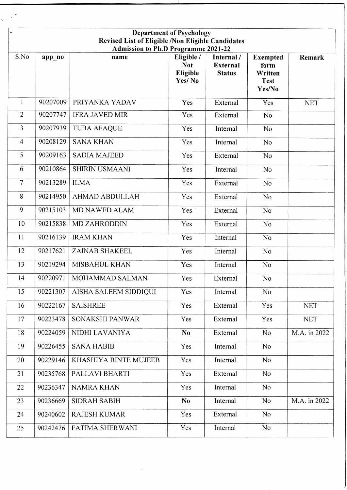| <b>Department of Psychology</b><br>$\bullet$<br>Revised List of Eligible /Non Eligible Candidates<br><b>Admission to Ph.D Programme 2021-22</b> |          |                        |                                                |                                                |                                                             |              |  |  |  |
|-------------------------------------------------------------------------------------------------------------------------------------------------|----------|------------------------|------------------------------------------------|------------------------------------------------|-------------------------------------------------------------|--------------|--|--|--|
| S.No                                                                                                                                            | app_no   | name                   | Eligible /<br><b>Not</b><br>Eligible<br>Yes/No | Internal /<br><b>External</b><br><b>Status</b> | <b>Exempted</b><br>form<br>Written<br><b>Test</b><br>Yes/No | Remark       |  |  |  |
| $\mathbf{1}$                                                                                                                                    | 90207009 | PRIYANKA YADAV         | Yes                                            | External                                       | Yes                                                         | <b>NET</b>   |  |  |  |
| $\overline{2}$                                                                                                                                  | 90207747 | <b>IFRA JAVED MIR</b>  | Yes                                            | External                                       | N <sub>o</sub>                                              |              |  |  |  |
| $\overline{3}$                                                                                                                                  | 90207939 | <b>TUBA AFAQUE</b>     | Yes                                            | Internal                                       | N <sub>o</sub>                                              |              |  |  |  |
| $\overline{4}$                                                                                                                                  | 90208129 | <b>SANA KHAN</b>       | Yes                                            | Internal                                       | No                                                          |              |  |  |  |
| 5                                                                                                                                               | 90209163 | <b>SADIA MAJEED</b>    | Yes                                            | External                                       | N <sub>o</sub>                                              |              |  |  |  |
| 6                                                                                                                                               | 90210864 | <b>SHIRIN USMAANI</b>  | Yes                                            | Internal                                       | N <sub>o</sub>                                              |              |  |  |  |
| $\overline{7}$                                                                                                                                  | 90213289 | <b>ILMA</b>            | Yes                                            | External                                       | N <sub>o</sub>                                              |              |  |  |  |
| 8                                                                                                                                               | 90214950 | <b>AHMAD ABDULLAH</b>  | Yes                                            | External                                       | No                                                          |              |  |  |  |
| 9                                                                                                                                               | 90215103 | MD NAWED ALAM          | Yes <sup>7</sup>                               | External                                       | N <sub>o</sub>                                              |              |  |  |  |
| 10                                                                                                                                              | 90215838 | <b>MD ZAHRODDIN</b>    | Yes                                            | External                                       | No                                                          |              |  |  |  |
| 11                                                                                                                                              | 90216139 | <b>IRAM KHAN</b>       | Yes                                            | Internal                                       | N <sub>o</sub>                                              |              |  |  |  |
| 12                                                                                                                                              | 90217621 | <b>ZAINAB SHAKEEL</b>  | Yes                                            | Internal                                       | N <sub>o</sub>                                              |              |  |  |  |
| 13                                                                                                                                              | 90219294 | MISBAHUL KHAN          | Yes                                            | Internal                                       | N <sub>o</sub>                                              |              |  |  |  |
| 14                                                                                                                                              | 90220971 | MOHAMMAD SALMAN        | Yes                                            | External                                       | No                                                          |              |  |  |  |
| 15                                                                                                                                              | 90221307 | AISHA SALEEM SIDDIQUI  | Yes                                            | Internal                                       | N <sub>o</sub>                                              |              |  |  |  |
| 16                                                                                                                                              | 90222167 | <b>SAISHREE</b>        | Yes                                            | External                                       | Yes                                                         | <b>NET</b>   |  |  |  |
| 17                                                                                                                                              | 90223478 | SONAKSHI PANWAR        | Yes                                            | External                                       | Yes                                                         | <b>NET</b>   |  |  |  |
| 18                                                                                                                                              | 90224059 | NIDHI LAVANIYA         | N <sub>0</sub>                                 | External                                       | N <sub>o</sub>                                              | M.A. in 2022 |  |  |  |
| 19                                                                                                                                              | 90226455 | <b>SANA HABIB</b>      | Yes                                            | Internal                                       | <b>No</b>                                                   |              |  |  |  |
| 20                                                                                                                                              | 90229146 | KHASHIYA BINTE MUJEEB  | Yes                                            | Internal                                       | N <sub>o</sub>                                              |              |  |  |  |
| 21                                                                                                                                              | 90235768 | PALLAVI BHARTI         | Yes                                            | External                                       | N <sub>o</sub>                                              |              |  |  |  |
| 22                                                                                                                                              | 90236347 | <b>NAMRA KHAN</b>      | Yes                                            | Internal                                       | N <sub>o</sub>                                              |              |  |  |  |
| 23                                                                                                                                              | 90236669 | <b>SIDRAH SABIH</b>    | N <sub>0</sub>                                 | Internal                                       | N <sub>o</sub>                                              | M.A. in 2022 |  |  |  |
| 24                                                                                                                                              | 90240602 | <b>RAJESH KUMAR</b>    | Yes                                            | External                                       | N <sub>o</sub>                                              |              |  |  |  |
| 25                                                                                                                                              | 90242476 | <b>FATIMA SHERWANI</b> | Yes                                            | Internal                                       | <b>No</b>                                                   |              |  |  |  |

 $\ddot{\phantom{0}}$